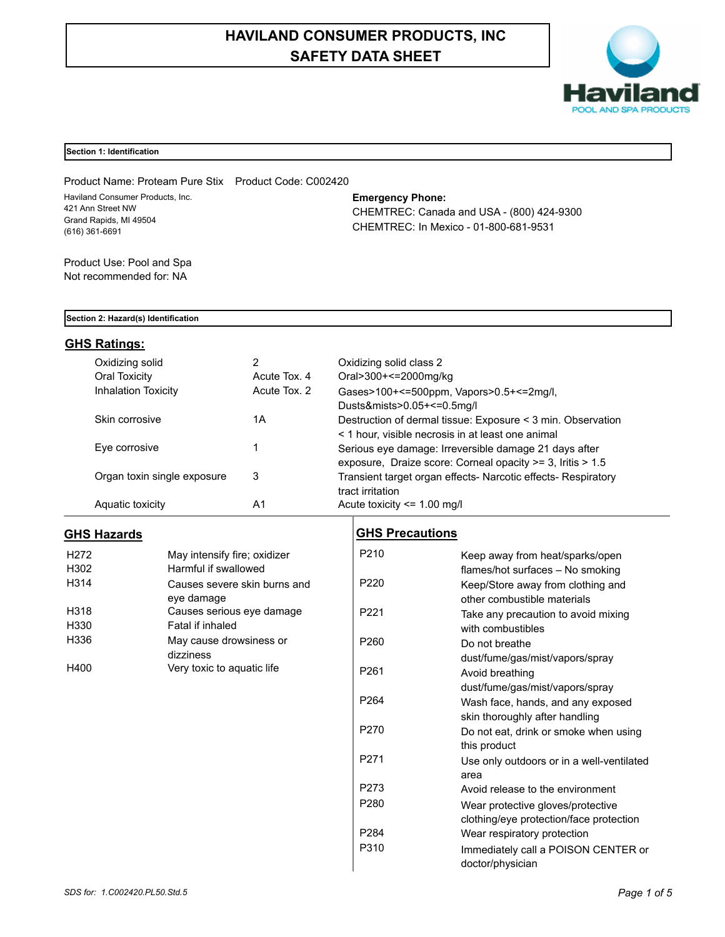# **HAVILAND CONSUMER PRODUCTS, INC SAFETY DATA SHEET**



### **Section 1: Identification**

Product Name: Proteam Pure Stix Product Code: C002420 Haviland Consumer Products, Inc. 421 Ann Street NW Grand Rapids, MI 49504 (616) 361-6691

### **Emergency Phone:**

CHEMTREC: Canada and USA - (800) 424-9300 CHEMTREC: In Mexico - 01-800-681-9531

Product Use: Pool and Spa Not recommended for: NA

#### **Section 2: Hazard(s) Identification**

### **GHS Ratings:**

| Oxidizing solid             | 2            | Oxidizing solid class 2                                       |
|-----------------------------|--------------|---------------------------------------------------------------|
| Oral Toxicity               | Acute Tox, 4 | Oral>300+<=2000mg/kg                                          |
| <b>Inhalation Toxicity</b>  | Acute Tox. 2 | Gases>100+<=500ppm, Vapors>0.5+<=2mg/l,                       |
|                             |              | Dusts&mists>0.05+<=0.5mg/l                                    |
| Skin corrosive              | 1Α           | Destruction of dermal tissue: Exposure < 3 min. Observation   |
|                             |              | < 1 hour, visible necrosis in at least one animal             |
| Eye corrosive               |              | Serious eye damage: Irreversible damage 21 days after         |
|                             |              | exposure, Draize score: Corneal opacity >= 3, Iritis > 1.5    |
| Organ toxin single exposure | 3            | Transient target organ effects- Narcotic effects- Respiratory |
|                             |              | tract irritation                                              |
| Aquatic toxicity            | A1           | Acute toxicity $\leq$ 1.00 mg/l                               |

### **GHS Hazards**

| H <sub>272</sub>  | May intensify fire; oxidizer |
|-------------------|------------------------------|
| H302              | Harmful if swallowed         |
| H <sub>3</sub> 14 | Causes severe skin burns and |
|                   | eye damage                   |
| H318              | Causes serious eye damage    |
| H330              | Fatal if inhaled             |
| H336              | May cause drowsiness or      |
|                   | dizziness                    |
| H400              | Very toxic to aquatic life   |

### **GHS Precautions**

| P <sub>210</sub> | Keep away from heat/sparks/open           |
|------------------|-------------------------------------------|
|                  | flames/hot surfaces - No smoking          |
| P <sub>220</sub> | Keep/Store away from clothing and         |
|                  | other combustible materials               |
| P <sub>221</sub> | Take any precaution to avoid mixing       |
|                  | with combustibles                         |
| P <sub>260</sub> | Do not breathe                            |
|                  | dust/fume/gas/mist/vapors/spray           |
| P <sub>261</sub> | Avoid breathing                           |
|                  | dust/fume/gas/mist/vapors/spray           |
| P <sub>264</sub> | Wash face, hands, and any exposed         |
|                  | skin thoroughly after handling            |
| P270             | Do not eat, drink or smoke when using     |
|                  | this product                              |
| P <sub>271</sub> | Use only outdoors or in a well-ventilated |
|                  | area                                      |
| P273             | Avoid release to the environment          |
| P280             | Wear protective gloves/protective         |
|                  | clothing/eye protection/face protection   |
| P284             | Wear respiratory protection               |
| P310             | Immediately call a POISON CENTER or       |
|                  | doctor/physician                          |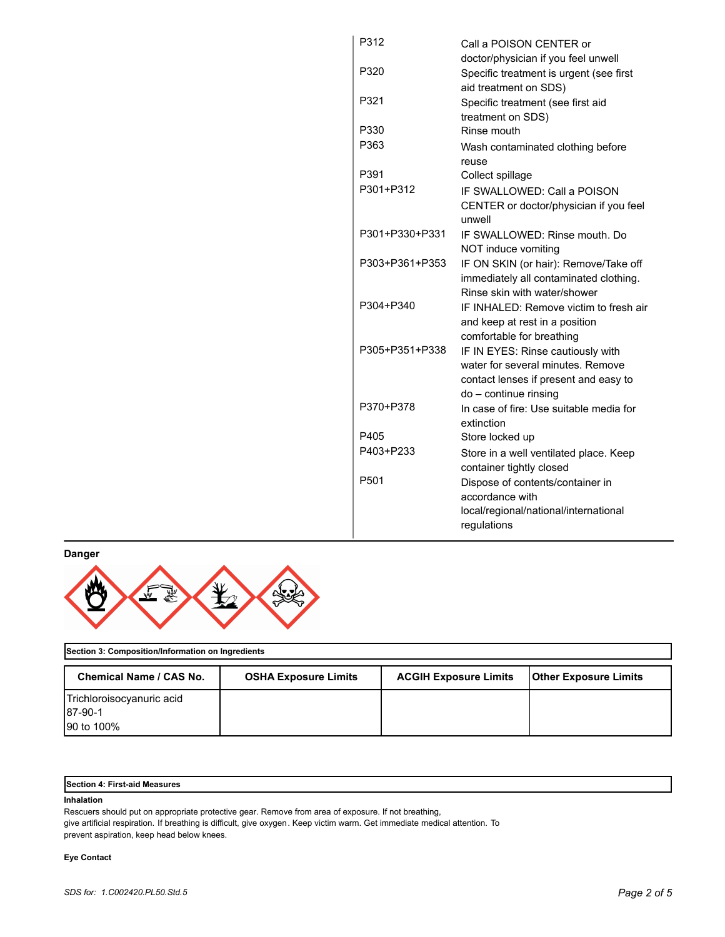| P312             | Call a POISON CENTER or                                      |
|------------------|--------------------------------------------------------------|
|                  | doctor/physician if you feel unwell                          |
| P320             | Specific treatment is urgent (see first                      |
|                  | aid treatment on SDS)                                        |
| P321             | Specific treatment (see first aid                            |
|                  | treatment on SDS)                                            |
| P330             | Rinse mouth                                                  |
| P363             | Wash contaminated clothing before                            |
|                  | reuse                                                        |
| P391             | Collect spillage                                             |
| P301+P312        | IF SWALLOWED: Call a POISON                                  |
|                  | CENTER or doctor/physician if you feel<br>unwell             |
| P301+P330+P331   | IF SWALLOWED: Rinse mouth, Do                                |
|                  | NOT induce vomiting                                          |
| P303+P361+P353   | IF ON SKIN (or hair): Remove/Take off                        |
|                  | immediately all contaminated clothing.                       |
|                  | Rinse skin with water/shower                                 |
| P304+P340        | IF INHALED: Remove victim to fresh air                       |
|                  | and keep at rest in a position                               |
|                  | comfortable for breathing                                    |
| P305+P351+P338   | IF IN EYES: Rinse cautiously with                            |
|                  | water for several minutes. Remove                            |
|                  | contact lenses if present and easy to                        |
|                  | do - continue rinsing                                        |
| P370+P378        | In case of fire: Use suitable media for                      |
| P405             | extinction                                                   |
| P403+P233        | Store locked up                                              |
|                  | Store in a well ventilated place. Keep                       |
| P <sub>501</sub> | container tightly closed<br>Dispose of contents/container in |
|                  | accordance with                                              |
|                  | local/regional/national/international                        |
|                  | regulations                                                  |
|                  |                                                              |

**Danger**



## **Section 3: Composition/Information on Ingredients**

| <b>Chemical Name / CAS No.</b> | <b>OSHA Exposure Limits</b> | <b>ACGIH Exposure Limits</b> | <b>Other Exposure Limits</b> |
|--------------------------------|-----------------------------|------------------------------|------------------------------|
| Trichloroisocyanuric acid      |                             |                              |                              |
| 187-90-1                       |                             |                              |                              |
| 90 to 100%                     |                             |                              |                              |

### **Section 4: First-aid Measures**

### **Inhalation**

Rescuers should put on appropriate protective gear. Remove from area of exposure. If not breathing, give artificial respiration. If breathing is difficult, give oxygen. Keep victim warm. Get immediate medical attention. To prevent aspiration, keep head below knees.

### **Eye Contact**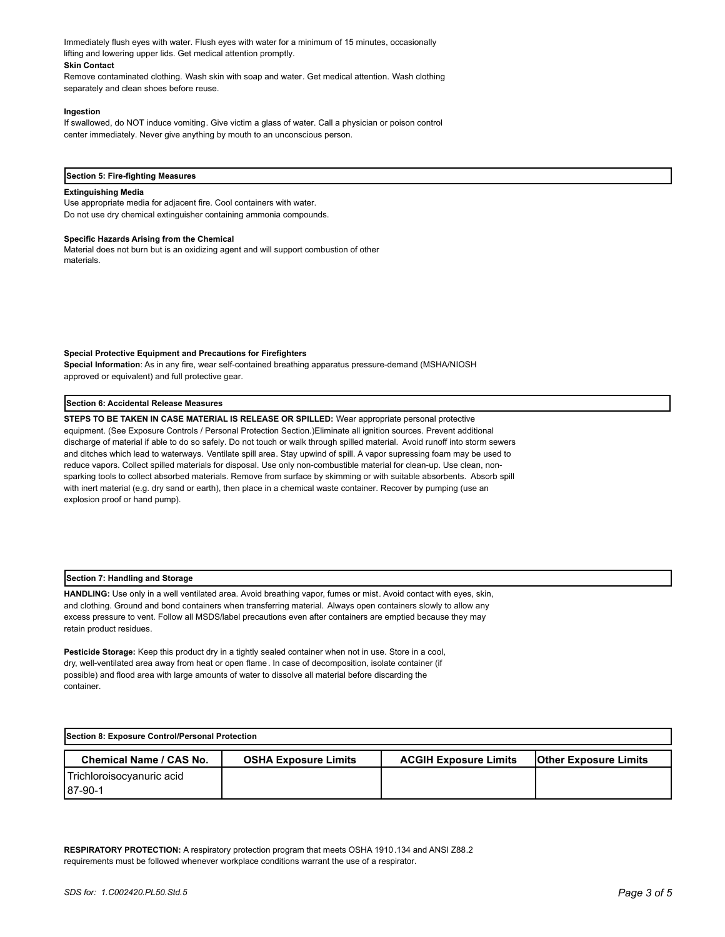Immediately flush eyes with water. Flush eyes with water for a minimum of 15 minutes, occasionally lifting and lowering upper lids. Get medical attention promptly. **Skin Contact**

Remove contaminated clothing. Wash skin with soap and water. Get medical attention. Wash clothing separately and clean shoes before reuse.

#### **Ingestion**

If swallowed, do NOT induce vomiting. Give victim a glass of water. Call a physician or poison control center immediately. Never give anything by mouth to an unconscious person.

#### **Section 5: Fire-fighting Measures**

#### **Extinguishing Media**

Use appropriate media for adjacent fire. Cool containers with water. Do not use dry chemical extinguisher containing ammonia compounds.

#### **Specific Hazards Arising from the Chemical**

Material does not burn but is an oxidizing agent and will support combustion of other materials.

#### **Special Protective Equipment and Precautions for Firefighters**

**Special Information**: As in any fire, wear self-contained breathing apparatus pressure-demand (MSHA/NIOSH approved or equivalent) and full protective gear.

#### **Section 6: Accidental Release Measures**

**STEPS TO BE TAKEN IN CASE MATERIAL IS RELEASE OR SPILLED:** Wear appropriate personal protective equipment. (See Exposure Controls / Personal Protection Section.)Eliminate all ignition sources. Prevent additional discharge of material if able to do so safely. Do not touch or walk through spilled material. Avoid runoff into storm sewers and ditches which lead to waterways. Ventilate spill area. Stay upwind of spill. A vapor supressing foam may be used to reduce vapors. Collect spilled materials for disposal. Use only non-combustible material for clean-up. Use clean, nonsparking tools to collect absorbed materials. Remove from surface by skimming or with suitable absorbents. Absorb spill with inert material (e.g. dry sand or earth), then place in a chemical waste container. Recover by pumping (use an explosion proof or hand pump).

#### **Section 7: Handling and Storage**

**HANDLING:** Use only in a well ventilated area. Avoid breathing vapor, fumes or mist. Avoid contact with eyes, skin, and clothing. Ground and bond containers when transferring material. Always open containers slowly to allow any excess pressure to vent. Follow all MSDS/label precautions even after containers are emptied because they may retain product residues.

**Pesticide Storage:** Keep this product dry in a tightly sealed container when not in use. Store in a cool, dry, well-ventilated area away from heat or open flame. In case of decomposition, isolate container (if possible) and flood area with large amounts of water to dissolve all material before discarding the container.

| Section 8: Exposure Control/Personal Protection |                             |                              |                              |
|-------------------------------------------------|-----------------------------|------------------------------|------------------------------|
| <b>Chemical Name / CAS No.</b>                  | <b>OSHA Exposure Limits</b> | <b>ACGIH Exposure Limits</b> | <b>Other Exposure Limits</b> |
| Trichloroisocyanuric acid<br>187-90-1           |                             |                              |                              |

**RESPIRATORY PROTECTION:** A respiratory protection program that meets OSHA 1910.134 and ANSI Z88.2 requirements must be followed whenever workplace conditions warrant the use of a respirator.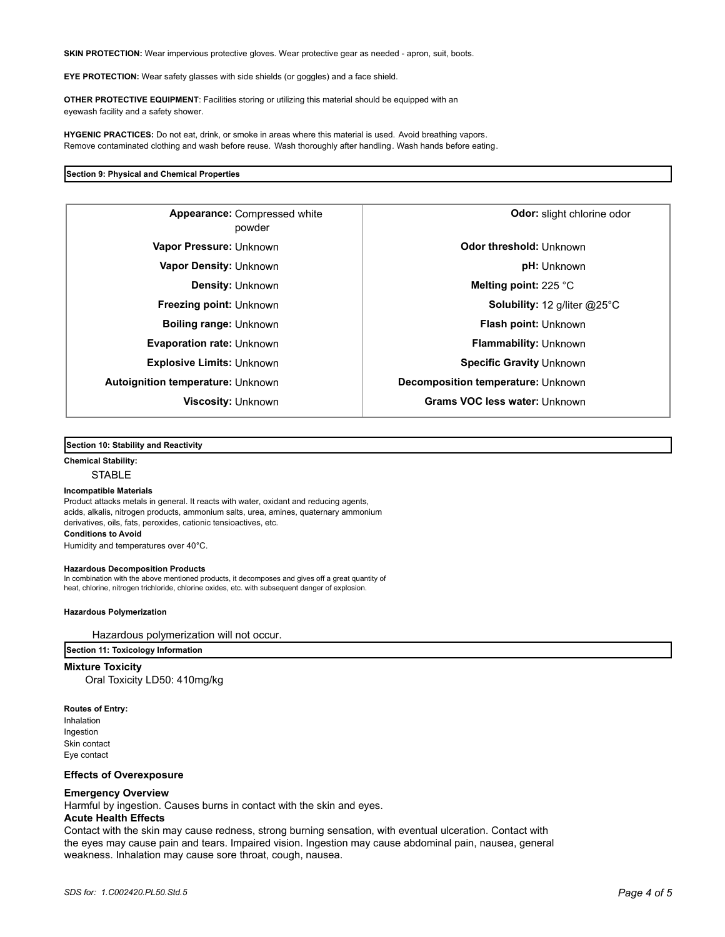**SKIN PROTECTION:** Wear impervious protective gloves. Wear protective gear as needed - apron, suit, boots.

**EYE PROTECTION:** Wear safety glasses with side shields (or goggles) and a face shield.

**OTHER PROTECTIVE EQUIPMENT**: Facilities storing or utilizing this material should be equipped with an eyewash facility and a safety shower.

**HYGENIC PRACTICES:** Do not eat, drink, or smoke in areas where this material is used. Avoid breathing vapors. Remove contaminated clothing and wash before reuse. Wash thoroughly after handling. Wash hands before eating.

#### **Section 9: Physical and Chemical Properties**

powder **Autoignition temperature:** Unknown **Decomposition temperature:** Unknown

Compressed white **Appearance: Odor:** slight chlorine odor **Vapor Pressure:** Unknown **CODITY CODE 10 CODE 10 CODE 10 Odor threshold: Unknown Vapor Density:** Unknown **pH:** Unknown **Density:** Unknown **Melting point:** 225 °C **Freezing point:** Unknown **Solubility:** 12 g/liter @25°C **Boiling range:** Unknown **Flash point: Unknown Evaporation rate:** Unknown **Flammability:** Unknown **Explosive Limits:** Unknown **Specific Gravity** Unknown **Specific Gravity** Unknown **Viscosity:** Unknown **Grams VOC less water:** Unknown

**Section 10: Stability and Reactivity** 

**Chemical Stability:**

**STABLE** 

#### **Incompatible Materials**

Product attacks metals in general. It reacts with water, oxidant and reducing agents, acids, alkalis, nitrogen products, ammonium salts, urea, amines, quaternary ammonium derivatives, oils, fats, peroxides, cationic tensioactives, etc. **Conditions to Avoid**

Humidity and temperatures over 40°C.

#### **Hazardous Decomposition Products**

In combination with the above mentioned products, it decomposes and gives off a great quantity of heat, chlorine, nitrogen trichloride, chlorine oxides, etc. with subsequent danger of explosion.

#### **Hazardous Polymerization**

Hazardous polymerization will not occur.

**Section 11: Toxicology Information**

**Mixture Toxicity** Oral Toxicity LD50: 410mg/kg

**Routes of Entry:** Inhalation Ingestion Skin contact Eye contact

### **Effects of Overexposure**

#### **Emergency Overview**

Harmful by ingestion. Causes burns in contact with the skin and eyes.

### **Acute Health Effects**

Contact with the skin may cause redness, strong burning sensation, with eventual ulceration. Contact with the eyes may cause pain and tears. Impaired vision. Ingestion may cause abdominal pain, nausea, general weakness. Inhalation may cause sore throat, cough, nausea.